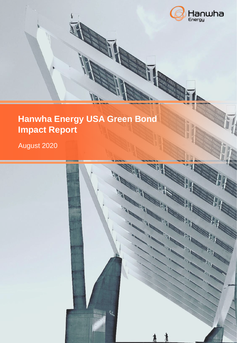

## **Hanwha Energy USA Green Bond Impact Report**

## August 2020

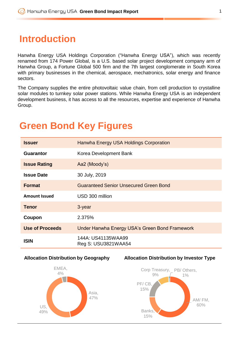## **Introduction**

Hanwha Energy USA Holdings Corporation ("Hanwha Energy USA"), which was recently renamed from 174 Power Global, is a U.S. based solar project development company arm of Hanwha Group, a Fortune Global 500 firm and the 7th largest conglomerate in South Korea with primary businesses in the chemical, aerospace, mechatronics, solar energy and finance sectors.

The Company supplies the entire photovoltaic value chain, from cell production to crystalline solar modules to turnkey solar power stations. While Hanwha Energy USA is an independent development business, it has access to all the resources, expertise and experience of Hanwha Group.

## **Issuer Hanwha Energy USA Holdings Corporation Guarantor** Korea Development Bank **Issue Rating** Aa2 (Moody's) **Issue Date** 30 July, 2019 **Format** Guaranteed Senior Unsecured Green Bond **Amount Issued** USD 300 million **Tenor** 3-year **Coupon** 2.375% **Use of Proceeds** Under Hanwha Energy USA's Green Bond Framework **ISIN** 144A: US41135WAA99 Reg S: USU3821WAA54

# **Green Bond Key Figures**







**Allocation Distribution by Investor Type**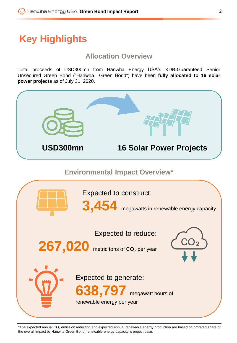# **Key Highlights**

#### **Allocation Overview**

Total proceeds of USD300mn from Hanwha Energy USA's KDB-Guaranteed Senior Unsecured Green Bond ("Hanwha Green Bond") have been **fully allocated to 16 solar power projects** as of July 31, 2020.



\*The expected annual  $CO<sub>2</sub>$  emission reduction and expected annual renewable energy production are based on prorated share of the overall impact by Hanwha Green Bond; renewable energy capacity is project basis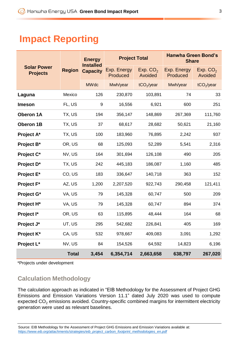## **Impact Reporting**

| <b>Solar Power</b><br><b>Projects</b> | <b>Region</b> | <b>Energy</b><br><b>Installed</b><br><b>Capacity</b> | <b>Project Total</b>    |                        | <b>Hanwha Green Bond's</b><br><b>Share</b> |                                 |
|---------------------------------------|---------------|------------------------------------------------------|-------------------------|------------------------|--------------------------------------------|---------------------------------|
|                                       |               |                                                      | Exp. Energy<br>Produced | Exp. $CO2$<br>Avoided  | Exp. Energy<br>Produced                    | Exp. CO <sub>2</sub><br>Avoided |
|                                       |               | <b>MWdc</b>                                          | Mwh/year                | tCO <sub>2</sub> /year | Mwh/year                                   | tCO <sub>2</sub> /year          |
| Laguna                                | Mexico        | 126                                                  | 230,870                 | 103,891                | 74                                         | 33                              |
| <b>Imeson</b>                         | FL, US        | $\boldsymbol{9}$                                     | 16,556                  | 6,921                  | 600                                        | 251                             |
| Oberon 1A                             | TX, US        | 194                                                  | 356,147                 | 148,869                | 267,369                                    | 111,760                         |
| Oberon 1B                             | TX, US        | 37                                                   | 68,617                  | 28,682                 | 50,621                                     | 21,160                          |
| Project A*                            | TX, US        | 100                                                  | 183,960                 | 76,895                 | 2,242                                      | 937                             |
| Project B*                            | OR, US        | 68                                                   | 125,093                 | 52,289                 | 5,541                                      | 2,316                           |
| Project C*                            | NV, US        | 164                                                  | 301,694                 | 126,108                | 490                                        | 205                             |
| Project D*                            | TX, US        | 242                                                  | 445,183                 | 186,087                | 1,160                                      | 485                             |
| Project E*                            | CO, US        | 183                                                  | 336,647                 | 140,718                | 363                                        | 152                             |
| Project F*                            | AZ, US        | 1,200                                                | 2,207,520               | 922,743                | 290,458                                    | 121,411                         |
| Project G*                            | VA, US        | 79                                                   | 145,328                 | 60,747                 | 500                                        | 209                             |
| Project H <sup>*</sup>                | VA, US        | 79                                                   | 145,328                 | 60,747                 | 894                                        | 374                             |
| Project I*                            | OR, US        | 63                                                   | 115,895                 | 48,444                 | 164                                        | 68                              |
| Project J*                            | UT, US        | 295                                                  | 542,682                 | 226,841                | 405                                        | 169                             |
| Project K*                            | CA, US        | 532                                                  | 978,667                 | 409,083                | 3,091                                      | 1,292                           |
| Project L*                            | NV, US        | 84                                                   | 154,526                 | 64,592                 | 14,823                                     | 6,196                           |
|                                       | <b>Total</b>  | 3,454                                                | 6,354,714               | 2,663,658              | 638,797                                    | 267,020                         |

\*Projects under development

### **Calculation Methodology**

The calculation approach as indicated in "EIB Methodology for the Assessment of Project GHG Emissions and Emission Variations Version 11.1" dated July 2020 was used to compute expected  $CO<sub>2</sub>$  emissions avoided. Country-specific combined margins for intermittent electricity generation were used as relevant baselines.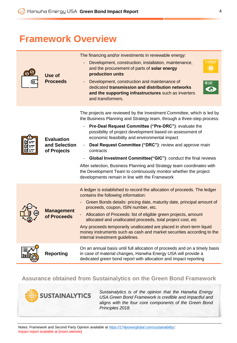## **Framework Overview**

| Use of<br><b>Proceeds</b>                         | The financing and/or investments in renewable energy:                                                                                                                                                                                    |  |  |  |  |
|---------------------------------------------------|------------------------------------------------------------------------------------------------------------------------------------------------------------------------------------------------------------------------------------------|--|--|--|--|
|                                                   | Development, construction, installation, maintenance,<br>and the procurement of parts of solar energy<br>production units                                                                                                                |  |  |  |  |
|                                                   | Development, construction and maintenance of<br><b>13 GLIMAT</b><br>dedicated transmission and distribution networks<br>and the supporting infrastructures such as inverters<br>and transformers.                                        |  |  |  |  |
| <b>Evaluation</b><br>and Selection<br>of Projects | The projects are reviewed by the Investment Committee, which is led by<br>the Business Planning and Strategy team, through a three-step process:<br>Pre-Deal Request Committee ("Pre-DRC"): evaluate the<br>$\qquad \qquad \blacksquare$ |  |  |  |  |
|                                                   | possibility of project development based on assessment of<br>economic feasibility and environmental impact                                                                                                                               |  |  |  |  |
|                                                   | Deal Request Committee ("DRC"): review and approve main<br>contracts                                                                                                                                                                     |  |  |  |  |
|                                                   | Global Investment Committee("GIC"): conduct the final reviews                                                                                                                                                                            |  |  |  |  |
|                                                   | After selection, Business Planning and Strategy team coordinates with<br>the Development Team to continuously monitor whether the project<br>developments remain in line with the Framework                                              |  |  |  |  |
| <b>Management</b><br>of Proceeds                  | A ledger is established to record the allocation of proceeds. The ledger<br>contains the following information:                                                                                                                          |  |  |  |  |
|                                                   | Green Bonds details: pricing date, maturity date, principal amount of<br>proceeds, coupon, ISIN number, etc.                                                                                                                             |  |  |  |  |
|                                                   | - Allocation of Proceeds: list of eligible green projects, amount<br>allocated and unallocated proceeds, total project cost, etc                                                                                                         |  |  |  |  |
|                                                   | Any proceeds temporarily unallocated are placed in short-term liquid<br>money instruments such as cash and market securities according to the<br>internal investment guidelines.                                                         |  |  |  |  |
| <b>Reporting</b>                                  | On an annual basis until full allocation of proceeds and on a timely basis<br>in case of material changes, Hanwha Energy USA will provide a<br>dedicated green bond report with allocation and impact reporting                          |  |  |  |  |

#### **Assurance obtained from Sustainalytics on the Green Bond Framework**



*Sustainalytics is of the opinion that the Hanwha Energy USA Green Bond Framework is credible and impactful and aligns with the four core components of the Green Bond Principles 2018.*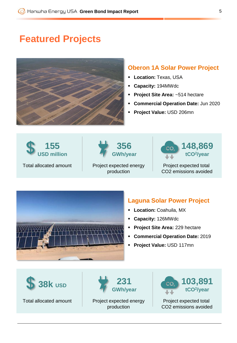## **Featured Projects**



#### **Oberon 1A Solar Power Project**

- **Location:** Texas, USA
- **Capacity:** 194MWdc
- **Project Site Area:** ~514 hectare
- **Commercial Operation Date:** Jun 2020
- **Project Value:** USD 206mn





Project expected energy production



Project expected total CO2 emissions avoided



- **Location:** Coahuila, MX
- **Capacity:** 126MWdc
- **Project Site Area:** 229 hectare
- **Commercial Operation Date:** 2019
- **Project Value:** USD 117mn



Total allocated amount



Project expected energy production



Project expected total CO2 emissions avoided